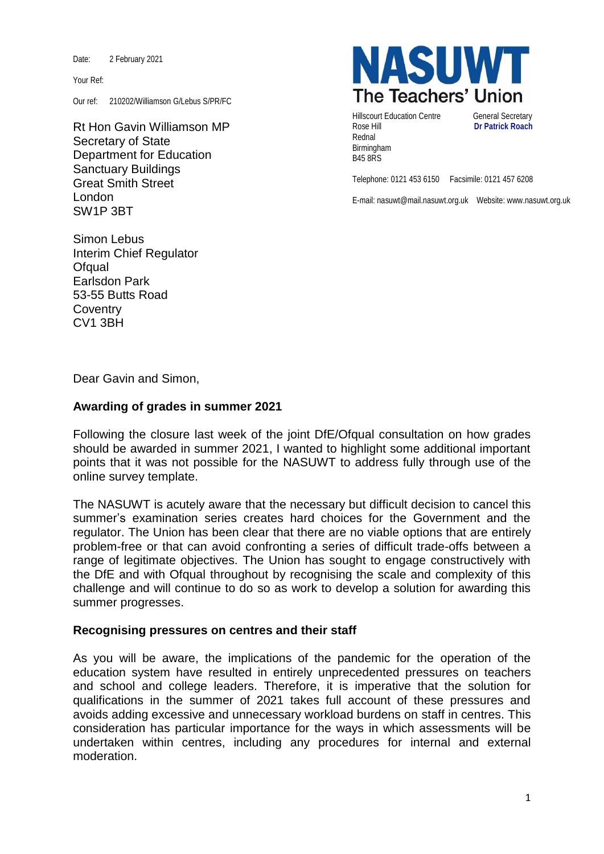Date: 2 February 2021

Your Ref:

Our ref: 210202/Williamson G/Lebus S/PR/FC

Rt Hon Gavin Williamson MP Secretary of State Department for Education Sanctuary Buildings Great Smith Street London SW1P 3BT



Hillscourt Education Centre **General Secretary** Rose Hill **Dr Patrick Roach** Rednal Birmingham B45 8RS

Telephone: 0121 453 6150 Facsimile: 0121 457 6208

E-mail: nasuwt@mail.nasuwt.org.uk Website: www.nasuwt.org.uk

Simon Lebus Interim Chief Regulator Ofqual Earlsdon Park 53-55 Butts Road **Coventry** CV1 3BH

Dear Gavin and Simon,

## **Awarding of grades in summer 2021**

Following the closure last week of the joint DfE/Ofqual consultation on how grades should be awarded in summer 2021, I wanted to highlight some additional important points that it was not possible for the NASUWT to address fully through use of the online survey template.

The NASUWT is acutely aware that the necessary but difficult decision to cancel this summer's examination series creates hard choices for the Government and the regulator. The Union has been clear that there are no viable options that are entirely problem-free or that can avoid confronting a series of difficult trade-offs between a range of legitimate objectives. The Union has sought to engage constructively with the DfE and with Ofqual throughout by recognising the scale and complexity of this challenge and will continue to do so as work to develop a solution for awarding this summer progresses.

## **Recognising pressures on centres and their staff**

As you will be aware, the implications of the pandemic for the operation of the education system have resulted in entirely unprecedented pressures on teachers and school and college leaders. Therefore, it is imperative that the solution for qualifications in the summer of 2021 takes full account of these pressures and avoids adding excessive and unnecessary workload burdens on staff in centres. This consideration has particular importance for the ways in which assessments will be undertaken within centres, including any procedures for internal and external moderation.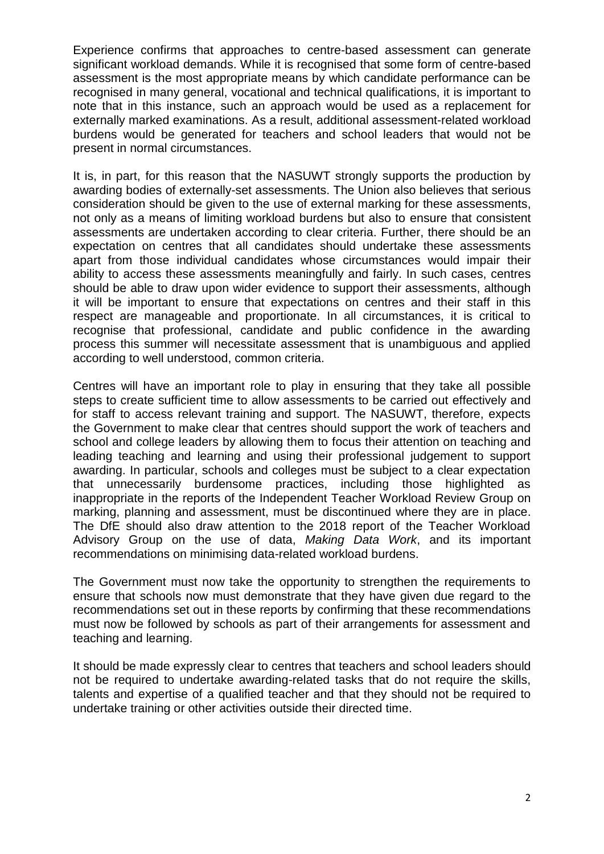Experience confirms that approaches to centre-based assessment can generate significant workload demands. While it is recognised that some form of centre-based assessment is the most appropriate means by which candidate performance can be recognised in many general, vocational and technical qualifications, it is important to note that in this instance, such an approach would be used as a replacement for externally marked examinations. As a result, additional assessment-related workload burdens would be generated for teachers and school leaders that would not be present in normal circumstances.

It is, in part, for this reason that the NASUWT strongly supports the production by awarding bodies of externally-set assessments. The Union also believes that serious consideration should be given to the use of external marking for these assessments, not only as a means of limiting workload burdens but also to ensure that consistent assessments are undertaken according to clear criteria. Further, there should be an expectation on centres that all candidates should undertake these assessments apart from those individual candidates whose circumstances would impair their ability to access these assessments meaningfully and fairly. In such cases, centres should be able to draw upon wider evidence to support their assessments, although it will be important to ensure that expectations on centres and their staff in this respect are manageable and proportionate. In all circumstances, it is critical to recognise that professional, candidate and public confidence in the awarding process this summer will necessitate assessment that is unambiguous and applied according to well understood, common criteria.

Centres will have an important role to play in ensuring that they take all possible steps to create sufficient time to allow assessments to be carried out effectively and for staff to access relevant training and support. The NASUWT, therefore, expects the Government to make clear that centres should support the work of teachers and school and college leaders by allowing them to focus their attention on teaching and leading teaching and learning and using their professional judgement to support awarding. In particular, schools and colleges must be subject to a clear expectation that unnecessarily burdensome practices, including those highlighted as inappropriate in the reports of the Independent Teacher Workload Review Group on marking, planning and assessment, must be discontinued where they are in place. The DfE should also draw attention to the 2018 report of the Teacher Workload Advisory Group on the use of data, *Making Data Work*, and its important recommendations on minimising data-related workload burdens.

The Government must now take the opportunity to strengthen the requirements to ensure that schools now must demonstrate that they have given due regard to the recommendations set out in these reports by confirming that these recommendations must now be followed by schools as part of their arrangements for assessment and teaching and learning.

It should be made expressly clear to centres that teachers and school leaders should not be required to undertake awarding-related tasks that do not require the skills, talents and expertise of a qualified teacher and that they should not be required to undertake training or other activities outside their directed time.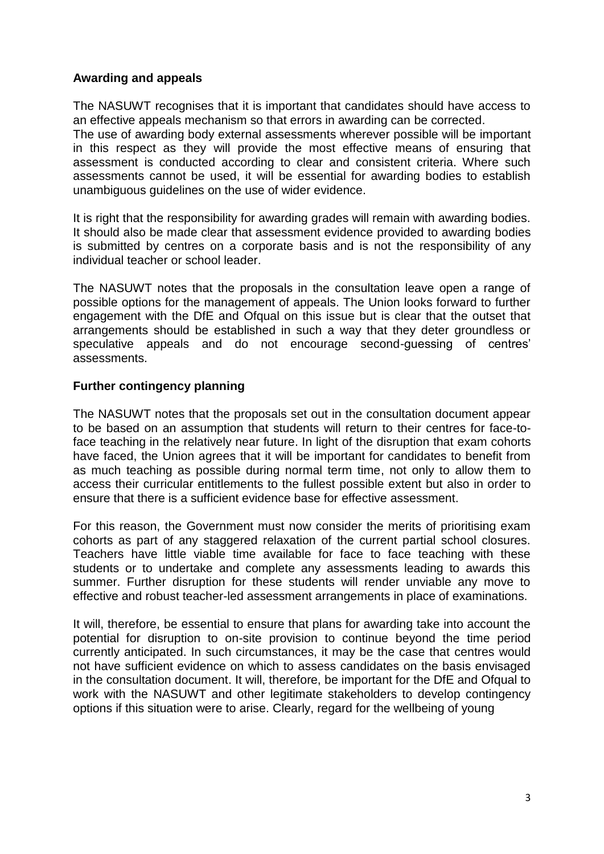## **Awarding and appeals**

The NASUWT recognises that it is important that candidates should have access to an effective appeals mechanism so that errors in awarding can be corrected.

The use of awarding body external assessments wherever possible will be important in this respect as they will provide the most effective means of ensuring that assessment is conducted according to clear and consistent criteria. Where such assessments cannot be used, it will be essential for awarding bodies to establish unambiguous guidelines on the use of wider evidence.

It is right that the responsibility for awarding grades will remain with awarding bodies. It should also be made clear that assessment evidence provided to awarding bodies is submitted by centres on a corporate basis and is not the responsibility of any individual teacher or school leader.

The NASUWT notes that the proposals in the consultation leave open a range of possible options for the management of appeals. The Union looks forward to further engagement with the DfE and Ofqual on this issue but is clear that the outset that arrangements should be established in such a way that they deter groundless or speculative appeals and do not encourage second-guessing of centres' assessments.

## **Further contingency planning**

The NASUWT notes that the proposals set out in the consultation document appear to be based on an assumption that students will return to their centres for face-toface teaching in the relatively near future. In light of the disruption that exam cohorts have faced, the Union agrees that it will be important for candidates to benefit from as much teaching as possible during normal term time, not only to allow them to access their curricular entitlements to the fullest possible extent but also in order to ensure that there is a sufficient evidence base for effective assessment.

For this reason, the Government must now consider the merits of prioritising exam cohorts as part of any staggered relaxation of the current partial school closures. Teachers have little viable time available for face to face teaching with these students or to undertake and complete any assessments leading to awards this summer. Further disruption for these students will render unviable any move to effective and robust teacher-led assessment arrangements in place of examinations.

It will, therefore, be essential to ensure that plans for awarding take into account the potential for disruption to on-site provision to continue beyond the time period currently anticipated. In such circumstances, it may be the case that centres would not have sufficient evidence on which to assess candidates on the basis envisaged in the consultation document. It will, therefore, be important for the DfE and Ofqual to work with the NASUWT and other legitimate stakeholders to develop contingency options if this situation were to arise. Clearly, regard for the wellbeing of young